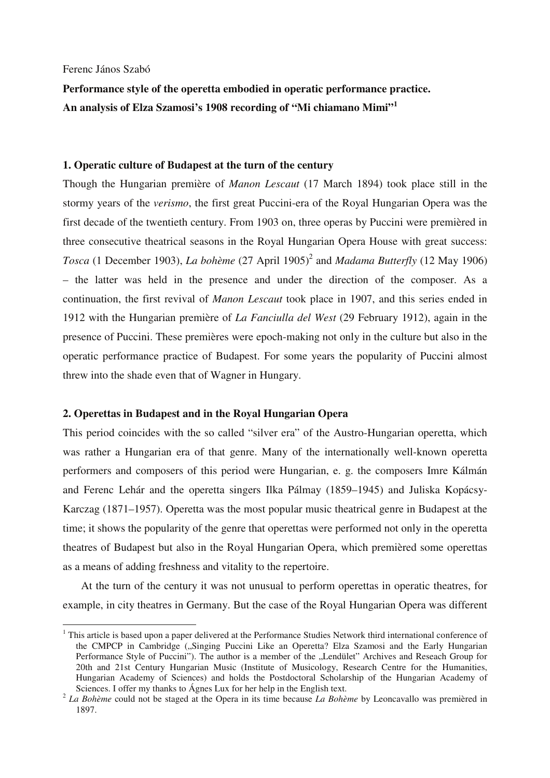Ferenc János Szabó

 $\overline{a}$ 

**Performance style of the operetta embodied in operatic performance practice. An analysis of Elza Szamosi's 1908 recording of "Mi chiamano Mimi"<sup>1</sup>**

# **1. Operatic culture of Budapest at the turn of the century**

Though the Hungarian première of *Manon Lescaut* (17 March 1894) took place still in the stormy years of the *verismo*, the first great Puccini-era of the Royal Hungarian Opera was the first decade of the twentieth century. From 1903 on, three operas by Puccini were premièred in three consecutive theatrical seasons in the Royal Hungarian Opera House with great success: *Tosca* (1 December 1903), *La bohème* (27 April 1905)<sup>2</sup> and *Madama Butterfly* (12 May 1906) – the latter was held in the presence and under the direction of the composer. As a continuation, the first revival of *Manon Lescaut* took place in 1907, and this series ended in 1912 with the Hungarian première of *La Fanciulla del West* (29 February 1912), again in the presence of Puccini. These premières were epoch-making not only in the culture but also in the operatic performance practice of Budapest. For some years the popularity of Puccini almost threw into the shade even that of Wagner in Hungary.

# **2. Operettas in Budapest and in the Royal Hungarian Opera**

This period coincides with the so called "silver era" of the Austro-Hungarian operetta, which was rather a Hungarian era of that genre. Many of the internationally well-known operetta performers and composers of this period were Hungarian, e. g. the composers Imre Kálmán and Ferenc Lehár and the operetta singers Ilka Pálmay (1859–1945) and Juliska Kopácsy-Karczag (1871–1957). Operetta was the most popular music theatrical genre in Budapest at the time; it shows the popularity of the genre that operettas were performed not only in the operetta theatres of Budapest but also in the Royal Hungarian Opera, which premièred some operettas as a means of adding freshness and vitality to the repertoire.

At the turn of the century it was not unusual to perform operettas in operatic theatres, for example, in city theatres in Germany. But the case of the Royal Hungarian Opera was different

<sup>&</sup>lt;sup>1</sup> This article is based upon a paper delivered at the Performance Studies Network third international conference of the CMPCP in Cambridge ("Singing Puccini Like an Operetta? Elza Szamosi and the Early Hungarian Performance Style of Puccini"). The author is a member of the "Lendület" Archives and Reseach Group for 20th and 21st Century Hungarian Music (Institute of Musicology, Research Centre for the Humanities, Hungarian Academy of Sciences) and holds the Postdoctoral Scholarship of the Hungarian Academy of Sciences. I offer my thanks to Ágnes Lux for her help in the English text.

<sup>2</sup> *La Bohème* could not be staged at the Opera in its time because *La Bohème* by Leoncavallo was premièred in 1897.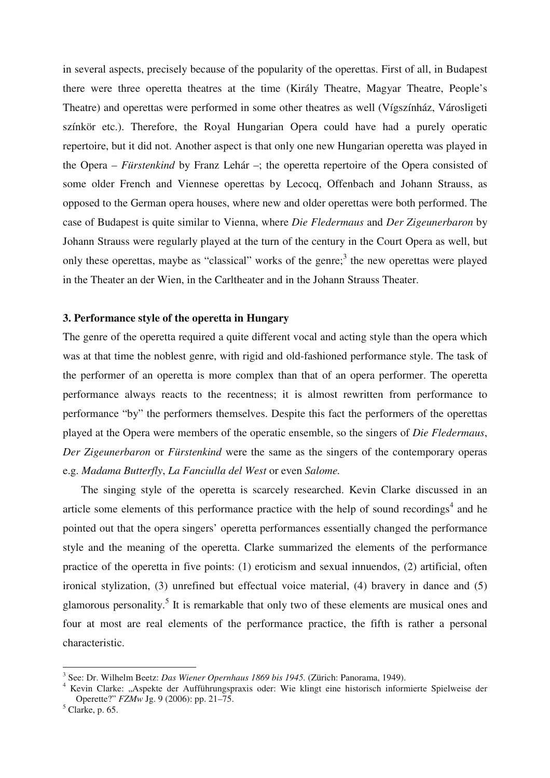in several aspects, precisely because of the popularity of the operettas. First of all, in Budapest there were three operetta theatres at the time (Király Theatre, Magyar Theatre, People's Theatre) and operettas were performed in some other theatres as well (Vígszínház, Városligeti színkör etc.). Therefore, the Royal Hungarian Opera could have had a purely operatic repertoire, but it did not. Another aspect is that only one new Hungarian operetta was played in the Opera – *Fürstenkind* by Franz Lehár –; the operetta repertoire of the Opera consisted of some older French and Viennese operettas by Lecocq, Offenbach and Johann Strauss, as opposed to the German opera houses, where new and older operettas were both performed. The case of Budapest is quite similar to Vienna, where *Die Fledermaus* and *Der Zigeunerbaron* by Johann Strauss were regularly played at the turn of the century in the Court Opera as well, but only these operettas, maybe as "classical" works of the genre;<sup>3</sup> the new operettas were played in the Theater an der Wien, in the Carltheater and in the Johann Strauss Theater.

## **3. Performance style of the operetta in Hungary**

The genre of the operetta required a quite different vocal and acting style than the opera which was at that time the noblest genre, with rigid and old-fashioned performance style. The task of the performer of an operetta is more complex than that of an opera performer. The operetta performance always reacts to the recentness; it is almost rewritten from performance to performance "by" the performers themselves. Despite this fact the performers of the operettas played at the Opera were members of the operatic ensemble, so the singers of *Die Fledermaus*, *Der Zigeunerbaron* or *Fürstenkind* were the same as the singers of the contemporary operas e.g. *Madama Butterfly*, *La Fanciulla del West* or even *Salome.*

The singing style of the operetta is scarcely researched. Kevin Clarke discussed in an article some elements of this performance practice with the help of sound recordings<sup>4</sup> and he pointed out that the opera singers' operetta performances essentially changed the performance style and the meaning of the operetta. Clarke summarized the elements of the performance practice of the operetta in five points: (1) eroticism and sexual innuendos, (2) artificial, often ironical stylization, (3) unrefined but effectual voice material, (4) bravery in dance and (5) glamorous personality.<sup>5</sup> It is remarkable that only two of these elements are musical ones and four at most are real elements of the performance practice, the fifth is rather a personal characteristic.

<sup>3</sup> See: Dr. Wilhelm Beetz: *Das Wiener Opernhaus 1869 bis 1945.* (Zürich: Panorama, 1949).

<sup>&</sup>lt;sup>4</sup> Kevin Clarke: "Aspekte der Aufführungspraxis oder: Wie klingt eine historisch informierte Spielweise der Operette?" *FZMw* Jg. 9 (2006): pp. 21–75.

 $<sup>5</sup>$  Clarke, p. 65.</sup>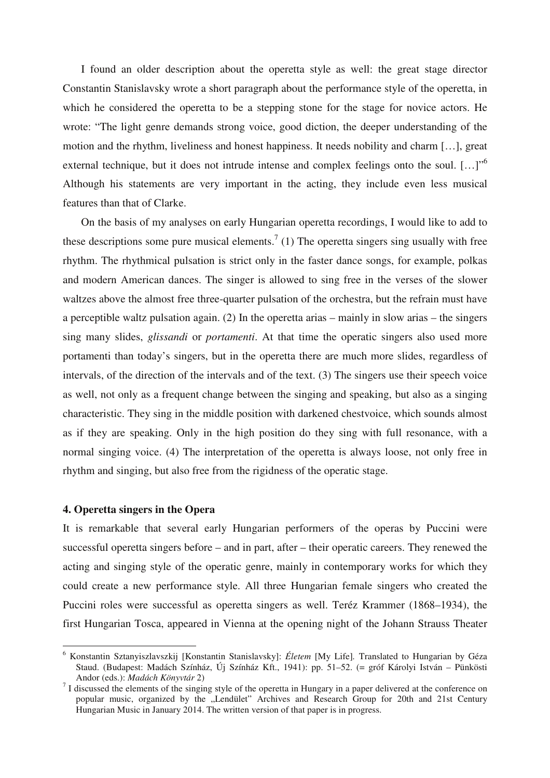I found an older description about the operetta style as well: the great stage director Constantin Stanislavsky wrote a short paragraph about the performance style of the operetta, in which he considered the operetta to be a stepping stone for the stage for novice actors. He wrote: "The light genre demands strong voice, good diction, the deeper understanding of the motion and the rhythm, liveliness and honest happiness. It needs nobility and charm […], great external technique, but it does not intrude intense and complex feelings onto the soul. [...]<sup>"6</sup> Although his statements are very important in the acting, they include even less musical features than that of Clarke.

On the basis of my analyses on early Hungarian operetta recordings, I would like to add to these descriptions some pure musical elements.<sup>7</sup> (1) The operetta singers sing usually with free rhythm. The rhythmical pulsation is strict only in the faster dance songs, for example, polkas and modern American dances. The singer is allowed to sing free in the verses of the slower waltzes above the almost free three-quarter pulsation of the orchestra, but the refrain must have a perceptible waltz pulsation again. (2) In the operetta arias – mainly in slow arias – the singers sing many slides, *glissandi* or *portamenti*. At that time the operatic singers also used more portamenti than today's singers, but in the operetta there are much more slides, regardless of intervals, of the direction of the intervals and of the text. (3) The singers use their speech voice as well, not only as a frequent change between the singing and speaking, but also as a singing characteristic. They sing in the middle position with darkened chestvoice, which sounds almost as if they are speaking. Only in the high position do they sing with full resonance, with a normal singing voice. (4) The interpretation of the operetta is always loose, not only free in rhythm and singing, but also free from the rigidness of the operatic stage.

### **4. Operetta singers in the Opera**

 $\overline{a}$ 

It is remarkable that several early Hungarian performers of the operas by Puccini were successful operetta singers before – and in part, after – their operatic careers. They renewed the acting and singing style of the operatic genre, mainly in contemporary works for which they could create a new performance style. All three Hungarian female singers who created the Puccini roles were successful as operetta singers as well. Teréz Krammer (1868–1934), the first Hungarian Tosca, appeared in Vienna at the opening night of the Johann Strauss Theater

<sup>6</sup> Konstantin Sztanyiszlavszkij [Konstantin Stanislavsky]: *Életem* [My Life]*.* Translated to Hungarian by Géza Staud. (Budapest: Madách Színház, Új Színház Kft., 1941): pp. 51–52. (= gróf Károlyi István – Pünkösti Andor (eds.): *Madách Könyvtár* 2)

 $<sup>7</sup>$  I discussed the elements of the singing style of the operetta in Hungary in a paper delivered at the conference on</sup> popular music, organized by the "Lendület" Archives and Research Group for 20th and 21st Century Hungarian Music in January 2014. The written version of that paper is in progress.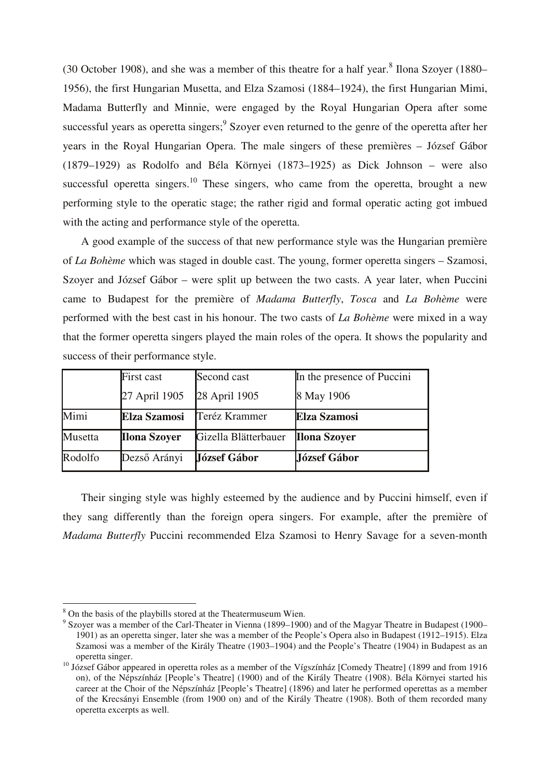(30 October 1908), and she was a member of this theatre for a half year. $8$  Ilona Szoyer (1880– 1956), the first Hungarian Musetta, and Elza Szamosi (1884–1924), the first Hungarian Mimi, Madama Butterfly and Minnie, were engaged by the Royal Hungarian Opera after some successful years as operetta singers;<sup>9</sup> Szoyer even returned to the genre of the operetta after her years in the Royal Hungarian Opera. The male singers of these premières – József Gábor (1879–1929) as Rodolfo and Béla Környei (1873–1925) as Dick Johnson – were also successful operetta singers.<sup>10</sup> These singers, who came from the operetta, brought a new performing style to the operatic stage; the rather rigid and formal operatic acting got imbued with the acting and performance style of the operetta.

A good example of the success of that new performance style was the Hungarian première of *La Bohème* which was staged in double cast. The young, former operetta singers – Szamosi, Szoyer and József Gábor – were split up between the two casts. A year later, when Puccini came to Budapest for the première of *Madama Butterfly*, *Tosca* and *La Bohème* were performed with the best cast in his honour. The two casts of *La Bohème* were mixed in a way that the former operetta singers played the main roles of the opera. It shows the popularity and success of their performance style.

|         | First cast          | Second cast          | In the presence of Puccini |  |
|---------|---------------------|----------------------|----------------------------|--|
|         | 27 April 1905       | 28 April 1905        | 8 May 1906                 |  |
| Mimi    | <b>Elza Szamosi</b> | Teréz Krammer        | <b>Elza Szamosi</b>        |  |
| Musetta | <b>Ilona Szoyer</b> | Gizella Blätterbauer | <b>Ilona Szoyer</b>        |  |
| Rodolfo | Dezső Arányi        | <b>József Gábor</b>  | József Gábor               |  |

Their singing style was highly esteemed by the audience and by Puccini himself, even if they sang differently than the foreign opera singers. For example, after the première of *Madama Butterfly* Puccini recommended Elza Szamosi to Henry Savage for a seven-month

<sup>&</sup>lt;sup>8</sup> On the basis of the playbills stored at the Theatermuseum Wien.

<sup>&</sup>lt;sup>9</sup> Szoyer was a member of the Carl-Theater in Vienna (1899–1900) and of the Magyar Theatre in Budapest (1900– 1901) as an operetta singer, later she was a member of the People's Opera also in Budapest (1912–1915). Elza Szamosi was a member of the Király Theatre (1903–1904) and the People's Theatre (1904) in Budapest as an operetta singer.

<sup>&</sup>lt;sup>10</sup> József Gábor appeared in operetta roles as a member of the Vígszínház [Comedy Theatre] (1899 and from 1916 on), of the Népszínház [People's Theatre] (1900) and of the Király Theatre (1908). Béla Környei started his career at the Choir of the Népszínház [People's Theatre] (1896) and later he performed operettas as a member of the Krecsányi Ensemble (from 1900 on) and of the Király Theatre (1908). Both of them recorded many operetta excerpts as well.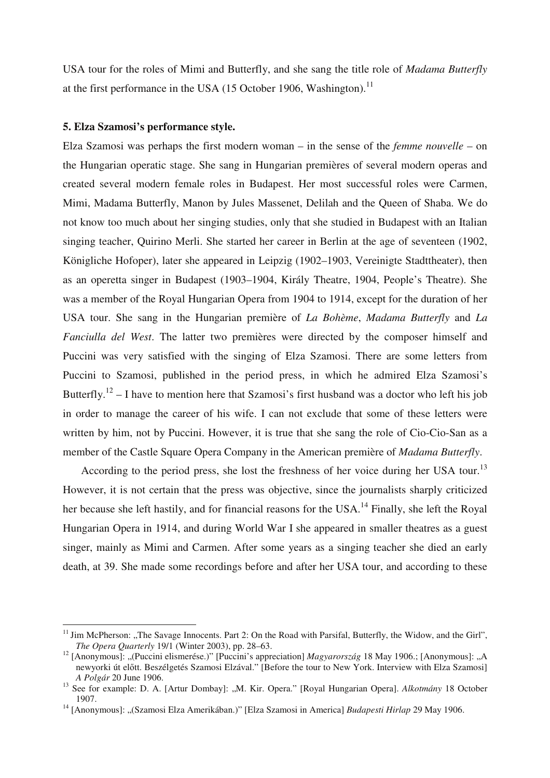USA tour for the roles of Mimi and Butterfly, and she sang the title role of *Madama Butterfly*  at the first performance in the USA (15 October 1906, Washington).<sup>11</sup>

### **5. Elza Szamosi's performance style.**

 $\overline{a}$ 

Elza Szamosi was perhaps the first modern woman – in the sense of the *femme nouvelle* – on the Hungarian operatic stage. She sang in Hungarian premières of several modern operas and created several modern female roles in Budapest. Her most successful roles were Carmen, Mimi, Madama Butterfly, Manon by Jules Massenet, Delilah and the Queen of Shaba. We do not know too much about her singing studies, only that she studied in Budapest with an Italian singing teacher, Quirino Merli. She started her career in Berlin at the age of seventeen (1902, Königliche Hofoper), later she appeared in Leipzig (1902–1903, Vereinigte Stadttheater), then as an operetta singer in Budapest (1903–1904, Király Theatre, 1904, People's Theatre). She was a member of the Royal Hungarian Opera from 1904 to 1914, except for the duration of her USA tour. She sang in the Hungarian première of *La Bohème*, *Madama Butterfly* and *La Fanciulla del West*. The latter two premières were directed by the composer himself and Puccini was very satisfied with the singing of Elza Szamosi. There are some letters from Puccini to Szamosi, published in the period press, in which he admired Elza Szamosi's Butterfly.<sup>12</sup> – I have to mention here that Szamosi's first husband was a doctor who left his job in order to manage the career of his wife. I can not exclude that some of these letters were written by him, not by Puccini. However, it is true that she sang the role of Cio-Cio-San as a member of the Castle Square Opera Company in the American première of *Madama Butterfly*.

According to the period press, she lost the freshness of her voice during her USA tour.<sup>13</sup> However, it is not certain that the press was objective, since the journalists sharply criticized her because she left hastily, and for financial reasons for the USA.<sup>14</sup> Finally, she left the Royal Hungarian Opera in 1914, and during World War I she appeared in smaller theatres as a guest singer, mainly as Mimi and Carmen. After some years as a singing teacher she died an early death, at 39. She made some recordings before and after her USA tour, and according to these

 $11$  Jim McPherson: "The Savage Innocents. Part 2: On the Road with Parsifal, Butterfly, the Widow, and the Girl", *The Opera Quarterly* 19/1 (Winter 2003), pp. 28–63.

<sup>&</sup>lt;sup>12</sup> [Anonymous]: "(Puccini elismerése.)" [Puccini's appreciation] *Magyarország* 18 May 1906.; [Anonymous]: "A newyorki út előtt. Beszélgetés Szamosi Elzával." [Before the tour to New York. Interview with Elza Szamosi] *A Polgár* 20 June 1906.

<sup>&</sup>lt;sup>13</sup> See for example: D. A. [Artur Dombay]: "M. Kir. Opera." [Royal Hungarian Opera]. *Alkotmány* 18 October 1907.

<sup>&</sup>lt;sup>14</sup> [Anonymous]: "(Szamosi Elza Amerikában.)" [Elza Szamosi in America] *Budapesti Hirlap* 29 May 1906.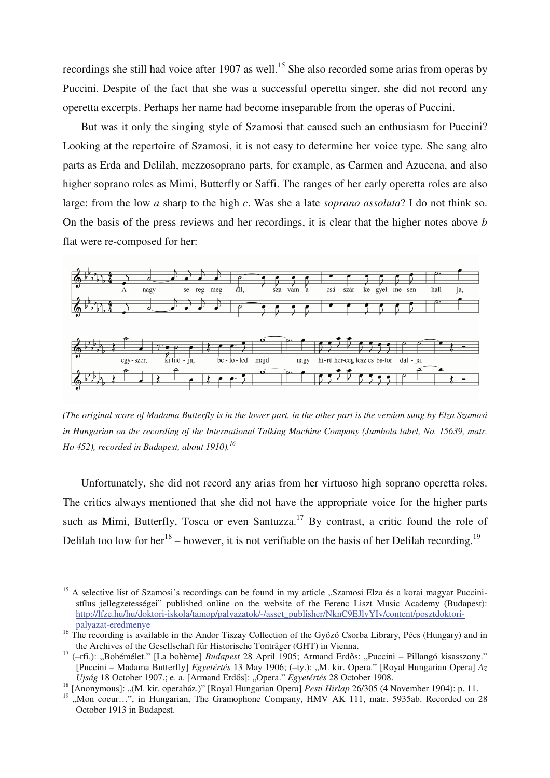recordings she still had voice after 1907 as well.<sup>15</sup> She also recorded some arias from operas by Puccini. Despite of the fact that she was a successful operetta singer, she did not record any operetta excerpts. Perhaps her name had become inseparable from the operas of Puccini.

But was it only the singing style of Szamosi that caused such an enthusiasm for Puccini? Looking at the repertoire of Szamosi, it is not easy to determine her voice type. She sang alto parts as Erda and Delilah, mezzosoprano parts, for example, as Carmen and Azucena, and also higher soprano roles as Mimi, Butterfly or Saffi. The ranges of her early operetta roles are also large: from the low *a* sharp to the high *c*. Was she a late *soprano assoluta*? I do not think so. On the basis of the press reviews and her recordings, it is clear that the higher notes above *b* flat were re-composed for her:



*(The original score of Madama Butterfly is in the lower part, in the other part is the version sung by Elza Szamosi*  in Hungarian on the recording of the International Talking Machine Company (Jumbola label, No. 15639, matr. *Ho 452), recorded in Budapest, about 1910).<sup>16</sup>*

Unfortunately, she did not record any arias from her virtuoso high soprano operetta roles. The critics always mentioned that she did not have the appropriate voice for the higher parts such as Mimi, Butterfly, Tosca or even Santuzza.<sup>17</sup> By contrast, a critic found the role of Delilah too low for her<sup>18</sup> – however, it is not verifiable on the basis of her Delilah recording.<sup>19</sup>

<sup>&</sup>lt;sup>15</sup> A selective list of Szamosi's recordings can be found in my article "Szamosi Elza és a korai magyar Puccinistílus jellegzetességei" published online on the website of the Ferenc Liszt Music Academy (Budapest): http://lfze.hu/hu/doktori-iskola/tamop/palyazatok/-/asset\_publisher/NknC9EJlvYIv/content/posztdoktoripalyazat-eredmenye

<sup>&</sup>lt;sup>16</sup> The recording is available in the Andor Tiszay Collection of the Győző Csorba Library, Pécs (Hungary) and in the Archives of the Gesellschaft für Historische Tonträger (GHT) in Vienna.

<sup>&</sup>lt;sup>17</sup> (-rfi.): "Bohémélet." [La bohème] *Budapest* 28 April 1905; Armand Erdős: "Puccini – Pillangó kisasszony." [Puccini – Madama Butterfly] *Egyetértés* 13 May 1906; (–ty.): "M. kir. Opera." [Royal Hungarian Opera] *Az*  Ujság 18 October 1907.; e. a. [Armand Erdős]: "Opera." *Egyetértés* 28 October 1908.

<sup>18</sup> [Anonymous]: "(M. kir. operaház.)" [Royal Hungarian Opera] *Pesti Hirlap* 26/305 (4 November 1904): p. 11.

<sup>19</sup> "Mon coeur…", in Hungarian, The Gramophone Company, HMV AK 111, matr. 5935ab. Recorded on 28 October 1913 in Budapest.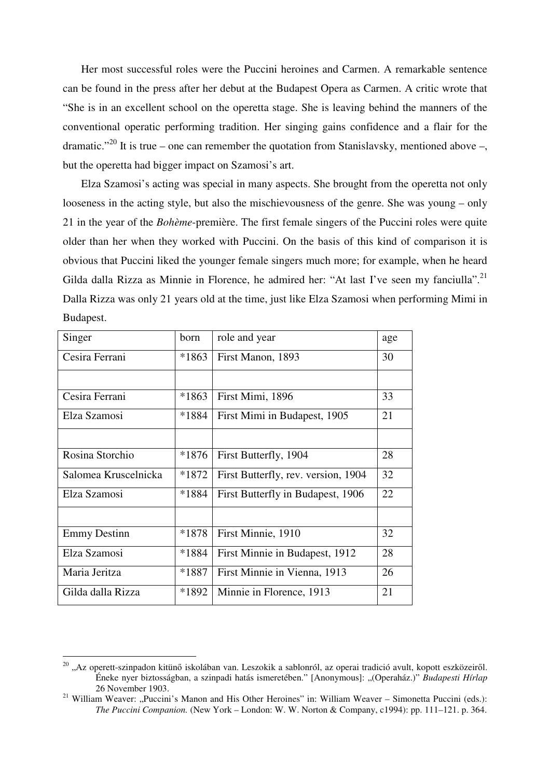Her most successful roles were the Puccini heroines and Carmen. A remarkable sentence can be found in the press after her debut at the Budapest Opera as Carmen. A critic wrote that "She is in an excellent school on the operetta stage. She is leaving behind the manners of the conventional operatic performing tradition. Her singing gains confidence and a flair for the dramatic."<sup>20</sup> It is true – one can remember the quotation from Stanislavsky, mentioned above –, but the operetta had bigger impact on Szamosi's art.

Elza Szamosi's acting was special in many aspects. She brought from the operetta not only looseness in the acting style, but also the mischievousness of the genre. She was young – only 21 in the year of the *Bohème*-première. The first female singers of the Puccini roles were quite older than her when they worked with Puccini. On the basis of this kind of comparison it is obvious that Puccini liked the younger female singers much more; for example, when he heard Gilda dalla Rizza as Minnie in Florence, he admired her: "At last I've seen my fanciulla".<sup>21</sup> Dalla Rizza was only 21 years old at the time, just like Elza Szamosi when performing Mimi in Budapest.

| Singer               | born    | role and year                       | age |
|----------------------|---------|-------------------------------------|-----|
| Cesira Ferrani       | $*1863$ | First Manon, 1893                   | 30  |
|                      |         |                                     |     |
| Cesira Ferrani       | $*1863$ | First Mimi, 1896                    | 33  |
| Elza Szamosi         | *1884   | First Mimi in Budapest, 1905        | 21  |
|                      |         |                                     |     |
| Rosina Storchio      | $*1876$ | First Butterfly, 1904               | 28  |
| Salomea Kruscelnicka | $*1872$ | First Butterfly, rev. version, 1904 | 32  |
| Elza Szamosi         | *1884   | First Butterfly in Budapest, 1906   | 22  |
|                      |         |                                     |     |
| <b>Emmy Destinn</b>  | $*1878$ | First Minnie, 1910                  | 32  |
| Elza Szamosi         | *1884   | First Minnie in Budapest, 1912      | 28  |
| Maria Jeritza        | *1887   | First Minnie in Vienna, 1913        | 26  |
| Gilda dalla Rizza    | *1892   | Minnie in Florence, 1913            | 21  |

<sup>&</sup>lt;sup>20</sup> "Az operett-szinpadon kitünő iskolában van. Leszokik a sablonról, az operai tradició avult, kopott eszközeiről. Éneke nyer biztosságban, a szinpadi hatás ismeretében." [Anonymous]: "(Operaház.)" *Budapesti Hírlap*  26 November 1903.

<sup>&</sup>lt;sup>21</sup> William Weaver: "Puccini's Manon and His Other Heroines" in: William Weaver – Simonetta Puccini (eds.): *The Puccini Companion.* (New York – London: W. W. Norton & Company, c1994): pp. 111–121. p. 364.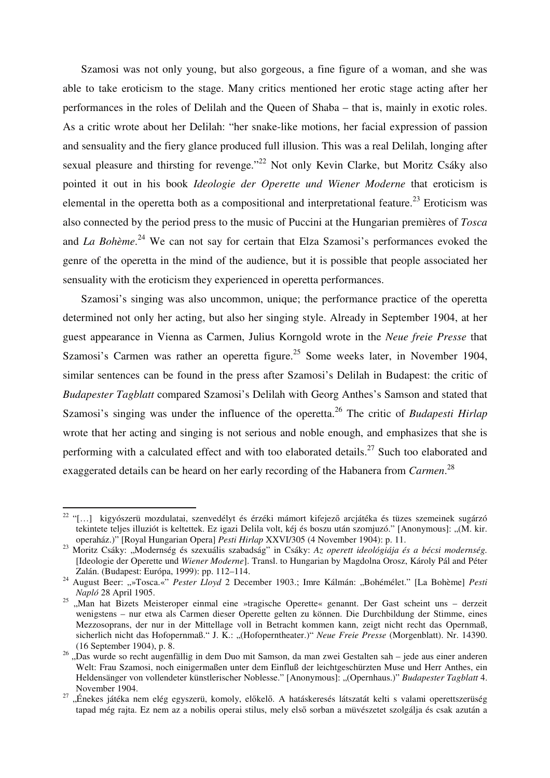Szamosi was not only young, but also gorgeous, a fine figure of a woman, and she was able to take eroticism to the stage. Many critics mentioned her erotic stage acting after her performances in the roles of Delilah and the Queen of Shaba – that is, mainly in exotic roles. As a critic wrote about her Delilah: "her snake-like motions, her facial expression of passion and sensuality and the fiery glance produced full illusion. This was a real Delilah, longing after sexual pleasure and thirsting for revenge."<sup>22</sup> Not only Kevin Clarke, but Moritz Csáky also pointed it out in his book *Ideologie der Operette und Wiener Moderne* that eroticism is elemental in the operetta both as a compositional and interpretational feature.<sup>23</sup> Eroticism was also connected by the period press to the music of Puccini at the Hungarian premières of *Tosca*  and *La Bohème*. <sup>24</sup> We can not say for certain that Elza Szamosi's performances evoked the genre of the operetta in the mind of the audience, but it is possible that people associated her sensuality with the eroticism they experienced in operetta performances.

Szamosi's singing was also uncommon, unique; the performance practice of the operetta determined not only her acting, but also her singing style. Already in September 1904, at her guest appearance in Vienna as Carmen, Julius Korngold wrote in the *Neue freie Presse* that Szamosi's Carmen was rather an operetta figure.<sup>25</sup> Some weeks later, in November 1904, similar sentences can be found in the press after Szamosi's Delilah in Budapest: the critic of *Budapester Tagblatt* compared Szamosi's Delilah with Georg Anthes's Samson and stated that Szamosi's singing was under the influence of the operetta.<sup>26</sup> The critic of *Budapesti Hirlap* wrote that her acting and singing is not serious and noble enough, and emphasizes that she is performing with a calculated effect and with too elaborated details.<sup>27</sup> Such too elaborated and exaggerated details can be heard on her early recording of the Habanera from *Carmen*. 28

<sup>&</sup>lt;sup>22</sup> "[...] kigyószerü mozdulatai, szenvedélyt és érzéki mámort kifejező arcjátéka és tüzes szemeinek sugárzó tekintete teljes illuziót is keltettek. Ez igazi Delila volt, kéj és boszu után szomjuzó." [Anonymous]: "(M. kir. operaház.)" [Royal Hungarian Opera] *Pesti Hirlap* XXVI/305 (4 November 1904): p. 11.

<sup>&</sup>lt;sup>23</sup> Moritz Csáky: "Modernség és szexuális szabadság" in Csáky: *Az operett ideológiája és a bécsi modernség*. [Ideologie der Operette und *Wiener Moderne*]. Transl. to Hungarian by Magdolna Orosz, Károly Pál and Péter Zalán. (Budapest: Európa, 1999): pp. 112–114.

<sup>&</sup>lt;sup>24</sup> August Beer: "»Tosca.«" *Pester Lloyd* 2 December 1903.; Imre Kálmán: "Bohémélet." [La Bohème] *Pesti Napló* 28 April 1905.

<sup>&</sup>lt;sup>25</sup> "Man hat Bizets Meisteroper einmal eine »tragische Operette« genannt. Der Gast scheint uns – derzeit wenigstens – nur etwa als Carmen dieser Operette gelten zu können. Die Durchbildung der Stimme, eines Mezzosoprans, der nur in der Mittellage voll in Betracht kommen kann, zeigt nicht recht das Opernmaß, sicherlich nicht das Hofopernmaß." J. K.: "(Hofoperntheater.)" *Neue Freie Presse* (Morgenblatt). Nr. 14390. (16 September 1904), p. 8.

<sup>&</sup>lt;sup>26</sup> "Das wurde so recht augenfällig in dem Duo mit Samson, da man zwei Gestalten sah – jede aus einer anderen Welt: Frau Szamosi, noch einigermaßen unter dem Einfluß der leichtgeschürzten Muse und Herr Anthes, ein Heldensänger von vollendeter künstlerischer Noblesse." [Anonymous]: "(Opernhaus.)" *Budapester Tagblatt* 4. November 1904.

<sup>&</sup>lt;sup>27</sup> "Énekes játéka nem elég egyszerü, komoly, előkelő. A hatáskeresés látszatát kelti s valami operettszerüség tapad még rajta. Ez nem az a nobilis operai stilus, mely első sorban a müvészetet szolgálja és csak azután a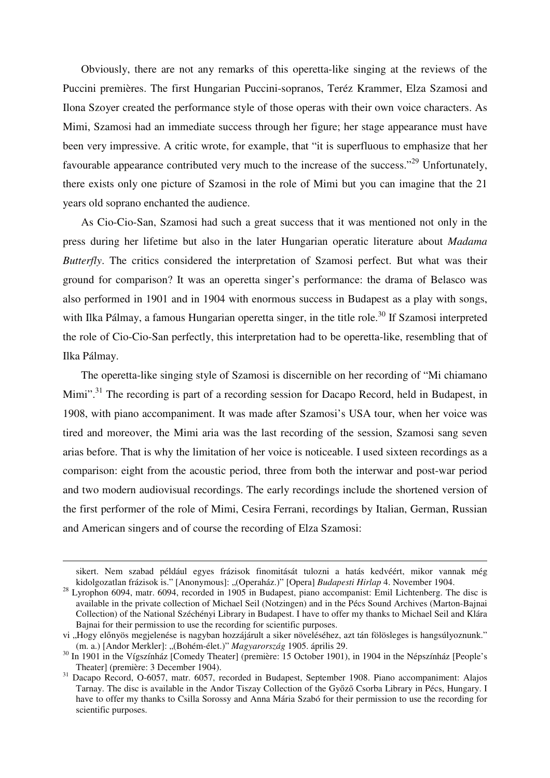Obviously, there are not any remarks of this operetta-like singing at the reviews of the Puccini premières. The first Hungarian Puccini-sopranos, Teréz Krammer, Elza Szamosi and Ilona Szoyer created the performance style of those operas with their own voice characters. As Mimi, Szamosi had an immediate success through her figure; her stage appearance must have been very impressive. A critic wrote, for example, that "it is superfluous to emphasize that her favourable appearance contributed very much to the increase of the success."<sup>29</sup> Unfortunately, there exists only one picture of Szamosi in the role of Mimi but you can imagine that the 21 years old soprano enchanted the audience.

As Cio-Cio-San, Szamosi had such a great success that it was mentioned not only in the press during her lifetime but also in the later Hungarian operatic literature about *Madama Butterfly*. The critics considered the interpretation of Szamosi perfect. But what was their ground for comparison? It was an operetta singer's performance: the drama of Belasco was also performed in 1901 and in 1904 with enormous success in Budapest as a play with songs, with Ilka Pálmay, a famous Hungarian operetta singer, in the title role.<sup>30</sup> If Szamosi interpreted the role of Cio-Cio-San perfectly, this interpretation had to be operetta-like, resembling that of Ilka Pálmay.

The operetta-like singing style of Szamosi is discernible on her recording of "Mi chiamano Mimi".<sup>31</sup> The recording is part of a recording session for Dacapo Record, held in Budapest, in 1908, with piano accompaniment. It was made after Szamosi's USA tour, when her voice was tired and moreover, the Mimi aria was the last recording of the session, Szamosi sang seven arias before. That is why the limitation of her voice is noticeable. I used sixteen recordings as a comparison: eight from the acoustic period, three from both the interwar and post-war period and two modern audiovisual recordings. The early recordings include the shortened version of the first performer of the role of Mimi, Cesira Ferrani, recordings by Italian, German, Russian and American singers and of course the recording of Elza Szamosi:

sikert. Nem szabad például egyes frázisok finomitását tulozni a hatás kedvéért, mikor vannak még kidolgozatlan frázisok is." [Anonymous]: "(Operaház.)" [Opera] *Budapesti Hirlap* 4. November 1904.

<sup>&</sup>lt;sup>28</sup> Lyrophon 6094, matr. 6094, recorded in 1905 in Budapest, piano accompanist: Emil Lichtenberg. The disc is available in the private collection of Michael Seil (Notzingen) and in the Pécs Sound Archives (Marton-Bajnai Collection) of the National Széchényi Library in Budapest. I have to offer my thanks to Michael Seil and Klára Bajnai for their permission to use the recording for scientific purposes.

vi "Hogy előnyös megjelenése is nagyban hozzájárult a siker növeléséhez, azt tán fölösleges is hangsúlyoznunk." (m. a.) [Andor Merkler]: "(Bohém-élet.)" *Magyarország* 1905. április 29.

In 1901 in the Vígszínház [Comedy Theater] (première: 15 October 1901), in 1904 in the Népszínház [People's Theater] (première: 3 December 1904).

Dacapo Record, O-6057, matr. 6057, recorded in Budapest, September 1908. Piano accompaniment: Alajos Tarnay. The disc is available in the Andor Tiszay Collection of the Győző Csorba Library in Pécs, Hungary. I have to offer my thanks to Csilla Sorossy and Anna Mária Szabó for their permission to use the recording for scientific purposes.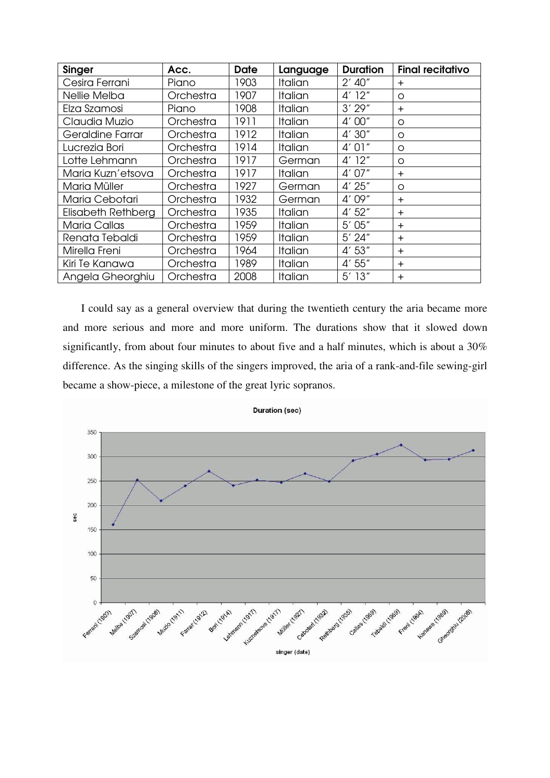| <b>Singer</b>       | Acc.      | <b>Date</b> | Language       | <b>Duration</b> | <b>Final recitativo</b> |
|---------------------|-----------|-------------|----------------|-----------------|-------------------------|
| Cesira Ferrani      | Piano     | 1903        | Italian        | $2'$ 40"        | $\pm$                   |
| Nellie Melba        | Orchestra | 1907        | Italian        | 4' 12''         | O                       |
| Elza Szamosi        | Piano     | 1908        | Italian        | 3'29''          | $+$                     |
| Claudia Muzio       | Orchestra | 1911        | Italian        | 4'00''          | $\circ$                 |
| Geraldine Farrar    | Orchestra | 1912        | Italian        | 4'30''          | $\circ$                 |
| Lucrezia Bori       | Orchestra | 1914        | Italian        | 4' 01''         | $\circ$                 |
| Lotte Lehmann       | Orchestra | 1917        | German         | $4'$ 12"        | $\circ$                 |
| Maria Kuzn'etsova   | Orchestra | 1917        | Italian        | 4'07''          | $\ddot{}$               |
| Maria Müller        | Orchestra | 1927        | German         | 4'25''          | O                       |
| Maria Cebotari      | Orchestra | 1932        | German         | 4'09''          | $+$                     |
| Elisabeth Rethberg  | Orchestra | 1935        | Italian        | 4' 52''         | $+$                     |
| <b>Maria Callas</b> | Orchestra | 1959        | <b>Italian</b> | 5'05''          | $+$                     |
| Renata Tebaldi      | Orchestra | 1959        | Italian        | 5' 24''         | $+$                     |
| Mirella Freni       | Orchestra | 1964        | Italian        | 4'53''          | $+$                     |
| Kiri Te Kanawa      | Orchestra | 1989        | Italian        | 4'55''          | $+$                     |
| Angela Gheorghiu    | Orchestra | 2008        | Italian        | $5'$ 13"        | $+$                     |

I could say as a general overview that during the twentieth century the aria became more and more serious and more and more uniform. The durations show that it slowed down significantly, from about four minutes to about five and a half minutes, which is about a 30% difference. As the singing skills of the singers improved, the aria of a rank-and-file sewing-girl became a show-piece, a milestone of the great lyric sopranos.

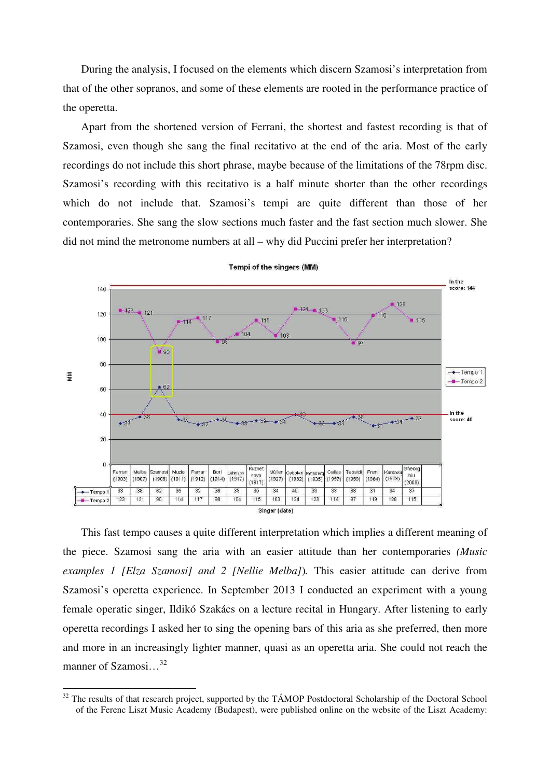During the analysis, I focused on the elements which discern Szamosi's interpretation from that of the other sopranos, and some of these elements are rooted in the performance practice of the operetta.

Apart from the shortened version of Ferrani, the shortest and fastest recording is that of Szamosi, even though she sang the final recitativo at the end of the aria. Most of the early recordings do not include this short phrase, maybe because of the limitations of the 78rpm disc. Szamosi's recording with this recitativo is a half minute shorter than the other recordings which do not include that. Szamosi's tempi are quite different than those of her contemporaries. She sang the slow sections much faster and the fast section much slower. She did not mind the metronome numbers at all – why did Puccini prefer her interpretation?



Tempi of the singers (MM)

This fast tempo causes a quite different interpretation which implies a different meaning of the piece. Szamosi sang the aria with an easier attitude than her contemporaries *(Music examples 1 [Elza Szamosi] and 2 [Nellie Melba]*)*.* This easier attitude can derive from Szamosi's operetta experience. In September 2013 I conducted an experiment with a young female operatic singer, Ildikó Szakács on a lecture recital in Hungary. After listening to early operetta recordings I asked her to sing the opening bars of this aria as she preferred, then more and more in an increasingly lighter manner, quasi as an operetta aria. She could not reach the manner of Szamosi...<sup>32</sup>

<sup>&</sup>lt;sup>32</sup> The results of that research project, supported by the TÁMOP Postdoctoral Scholarship of the Doctoral School of the Ferenc Liszt Music Academy (Budapest), were published online on the website of the Liszt Academy: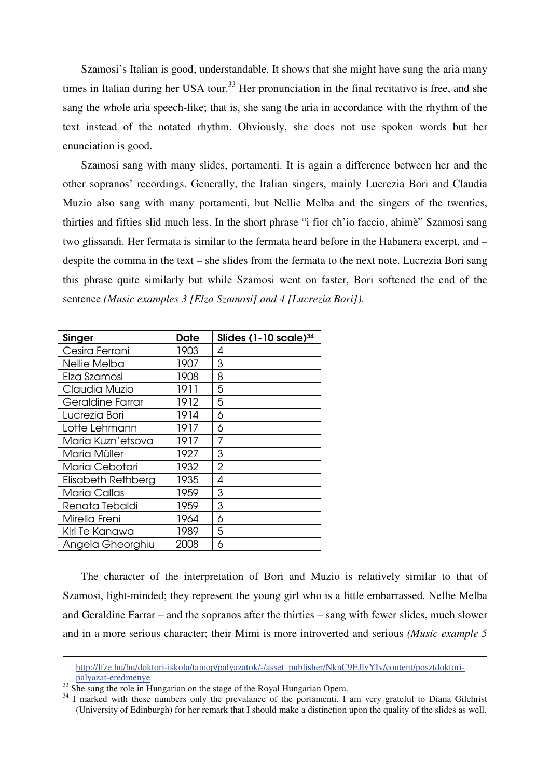Szamosi's Italian is good, understandable. It shows that she might have sung the aria many times in Italian during her USA tour.<sup>33</sup> Her pronunciation in the final recitativo is free, and she sang the whole aria speech-like; that is, she sang the aria in accordance with the rhythm of the text instead of the notated rhythm. Obviously, she does not use spoken words but her enunciation is good.

Szamosi sang with many slides, portamenti. It is again a difference between her and the other sopranos' recordings. Generally, the Italian singers, mainly Lucrezia Bori and Claudia Muzio also sang with many portamenti, but Nellie Melba and the singers of the twenties, thirties and fifties slid much less. In the short phrase "i fior ch'io faccio, ahimè" Szamosi sang two glissandi. Her fermata is similar to the fermata heard before in the Habanera excerpt, and – despite the comma in the text – she slides from the fermata to the next note. Lucrezia Bori sang this phrase quite similarly but while Szamosi went on faster, Bori softened the end of the sentence *(Music examples 3 [Elza Szamosi] and 4 [Lucrezia Bori])*.

| <b>Singer</b>       | Date | Slides $(1 - 10 \text{ scale})^{34}$ |
|---------------------|------|--------------------------------------|
| Cesira Ferrani      | 1903 | 4                                    |
| Nellie Melba        | 1907 | 3                                    |
| Elza Szamosi        | 1908 | 8                                    |
| Claudia Muzio       | 1911 | 5                                    |
| Geraldine Farrar    | 1912 | 5                                    |
| Lucrezia Bori       | 1914 | 6                                    |
| Lotte Lehmann       | 1917 | 6                                    |
| Maria Kuzn'etsova   | 1917 | 7                                    |
| Maria Müller        | 1927 | 3                                    |
| Maria Cebotari      | 1932 | $\overline{2}$                       |
| Elisabeth Rethberg  | 1935 | 4                                    |
| <b>Maria Callas</b> | 1959 | 3                                    |
| Renata Tebaldi      | 1959 | 3                                    |
| Mirella Freni       | 1964 | 6                                    |
| Kiri Te Kanawa      | 1989 | 5                                    |
| Angela Gheorghiu    | 2008 | 6                                    |

The character of the interpretation of Bori and Muzio is relatively similar to that of Szamosi, light-minded; they represent the young girl who is a little embarrassed. Nellie Melba and Geraldine Farrar – and the sopranos after the thirties – sang with fewer slides, much slower and in a more serious character; their Mimi is more introverted and serious *(Music example 5* 

http://lfze.hu/hu/doktori-iskola/tamop/palyazatok/-/asset\_publisher/NknC9EJlvYIv/content/posztdoktoripalyazat-eredmenye

<sup>&</sup>lt;sup>33</sup> She sang the role in Hungarian on the stage of the Royal Hungarian Opera.

<sup>&</sup>lt;sup>34</sup> I marked with these numbers only the prevalance of the portamenti. I am very grateful to Diana Gilchrist (University of Edinburgh) for her remark that I should make a distinction upon the quality of the slides as well.